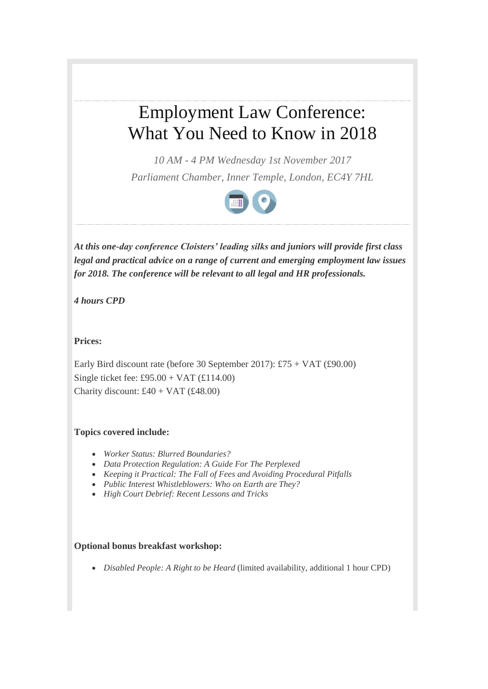# Employment Law Conference: What You Need to Know in 2018

*10 AM - 4 PM Wednesday 1st November 2017 Parliament Chamber, Inner Temple, London, EC4Y 7HL*



*At this one-day conference Cloisters' leading silks and juniors will provide first class legal and practical advice on a range of current and emerging employment law issues for 2018. The conference will be relevant to all legal and HR professionals.*

*4 hours CPD*

**Prices:**

Early Bird discount rate (before 30 September 2017): £75 + VAT (£90.00) Single ticket fee: £95.00 + VAT (£114.00) Charity discount: £40 + VAT (£48.00)

# **Topics covered include:**

- *Worker Status: Blurred Boundaries?*
- *Data Protection Regulation: A Guide For The Perplexed*
- *Keeping it Practical: The Fall of Fees and Avoiding Procedural Pitfalls*
- *Public Interest Whistleblowers: Who on Earth are They?*
- *High Court Debrief: Recent Lessons and Tricks*

# **Optional bonus breakfast workshop:**

*Disabled People: A Right to be Heard* (limited availability, additional 1 hour CPD)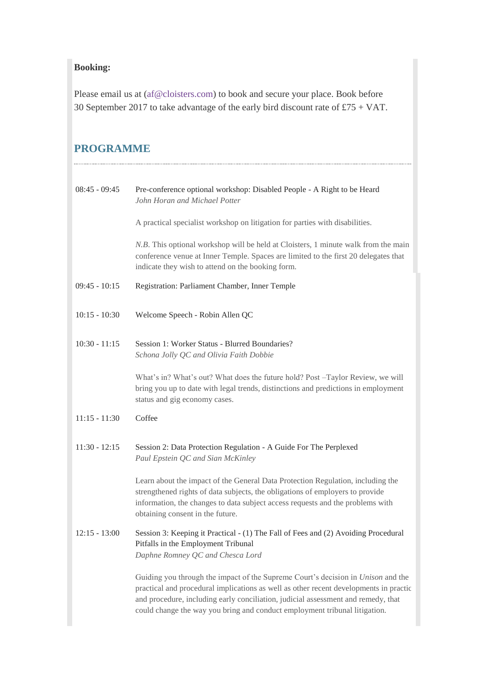# **Booking:**

Please email us at [\(af@cloisters.com\)](mailto:af@cloisters.com) to book and secure your place. Book before 30 September 2017 to take advantage of the early bird discount rate of £75 + VAT.

# **PROGRAMME**

| $08:45 - 09:45$ | Pre-conference optional workshop: Disabled People - A Right to be Heard<br>John Horan and Michael Potter                                                                                                                                                                                                                                            |
|-----------------|-----------------------------------------------------------------------------------------------------------------------------------------------------------------------------------------------------------------------------------------------------------------------------------------------------------------------------------------------------|
|                 | A practical specialist workshop on litigation for parties with disabilities.                                                                                                                                                                                                                                                                        |
|                 | N.B. This optional workshop will be held at Cloisters, 1 minute walk from the main<br>conference venue at Inner Temple. Spaces are limited to the first 20 delegates that<br>indicate they wish to attend on the booking form.                                                                                                                      |
| $09:45 - 10:15$ | Registration: Parliament Chamber, Inner Temple                                                                                                                                                                                                                                                                                                      |
| $10:15 - 10:30$ | Welcome Speech - Robin Allen QC                                                                                                                                                                                                                                                                                                                     |
| $10:30 - 11:15$ | Session 1: Worker Status - Blurred Boundaries?<br>Schona Jolly QC and Olivia Faith Dobbie                                                                                                                                                                                                                                                           |
|                 | What's in? What's out? What does the future hold? Post -Taylor Review, we will<br>bring you up to date with legal trends, distinctions and predictions in employment<br>status and gig economy cases.                                                                                                                                               |
| $11:15 - 11:30$ | Coffee                                                                                                                                                                                                                                                                                                                                              |
| $11:30 - 12:15$ | Session 2: Data Protection Regulation - A Guide For The Perplexed<br>Paul Epstein QC and Sian McKinley                                                                                                                                                                                                                                              |
|                 | Learn about the impact of the General Data Protection Regulation, including the<br>strengthened rights of data subjects, the obligations of employers to provide<br>information, the changes to data subject access requests and the problems with<br>obtaining consent in the future.                                                              |
| $12:15 - 13:00$ | Session 3: Keeping it Practical - (1) The Fall of Fees and (2) Avoiding Procedural<br>Pitfalls in the Employment Tribunal<br>Daphne Romney QC and Chesca Lord                                                                                                                                                                                       |
|                 | Guiding you through the impact of the Supreme Court's decision in <i>Unison</i> and the<br>practical and procedural implications as well as other recent developments in practic<br>and procedure, including early conciliation, judicial assessment and remedy, that<br>could change the way you bring and conduct employment tribunal litigation. |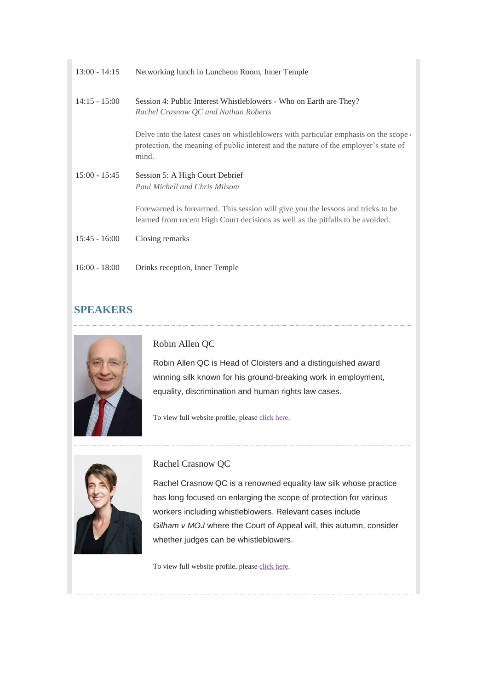| $13:00 - 14:15$ | Networking lunch in Luncheon Room, Inner Temple                                                                                                                                               |
|-----------------|-----------------------------------------------------------------------------------------------------------------------------------------------------------------------------------------------|
| $14:15 - 15:00$ | Session 4: Public Interest Whistleblowers - Who on Earth are They?<br>Rachel Crasnow QC and Nathan Roberts                                                                                    |
|                 | Delve into the latest cases on whistleblowers with particular emphasis on the scope $\alpha$<br>protection, the meaning of public interest and the nature of the employer's state of<br>mind. |
| $15:00 - 15:45$ | Session 5: A High Court Debrief<br>Paul Michell and Chris Milsom                                                                                                                              |
|                 | Forewarned is forearmed. This session will give you the lessons and tricks to be<br>learned from recent High Court decisions as well as the pitfalls to be avoided.                           |
| $15:45 - 16:00$ | Closing remarks                                                                                                                                                                               |
| $16:00 - 18:00$ | Drinks reception, Inner Temple                                                                                                                                                                |

# **SPEAKERS**



Robin Allen QC

Robin Allen QC is Head of Cloisters and a distinguished award winning silk known for his ground-breaking work in employment, equality, discrimination and human rights law cases.

To view full website profile, pleas[e click here.](http://lexlinks.cloisters.com/marketingServer/incoming.aspx?l=0x3DBC17CE19297A5C1E83F8514FD58D5D00C1DABBA4083687C9D7109E6E08D9AB2EEB982651443D05BBE8C5D8A00216DE32360DA5F90B60B0&ln=15&d=0xEC3640B4180F8F16%5e0xD1197CF0B1D861C4|0x40F3E49C83A12815%5e0x5FBFF1AECC20ED30|0x1F76935CAA54AE0A%5e0x430F6723D93D04D9212D989C9E2D7BB9FA2E9A2BE4C35A19192094DCAC56ACF8|0xA14B30AADF25AF0D%5e0x17922B9099DE2B55F699159D61C256AC1EE9C6511B169AAF117C7380CB0297033F56C09342B25402|0xC00B32B3252A1623F7126F7C46654076%5e0xA4AA6F214F8FE34D|0xF1B146662D144B75%5e0x862AEE6C7518FCC6|0xD52134AC788FF0FE%5e0xA51E887BD4C03819|0x7C0176C586DD3A52%5e0xB71AB4483C0A7B26|0x49EB4C9596DBE1A5%5e0xBDC0B87423493533|&c=168&s=96) 



Rachel Crasnow QC

Rachel Crasnow QC is a renowned equality law silk whose practice has long focused on enlarging the scope of protection for various workers including whistleblowers. Relevant cases include *Gilham v MOJ* where the Court of Appeal will, this autumn, consider whether judges can be whistleblowers.

To view full website profile, please click here.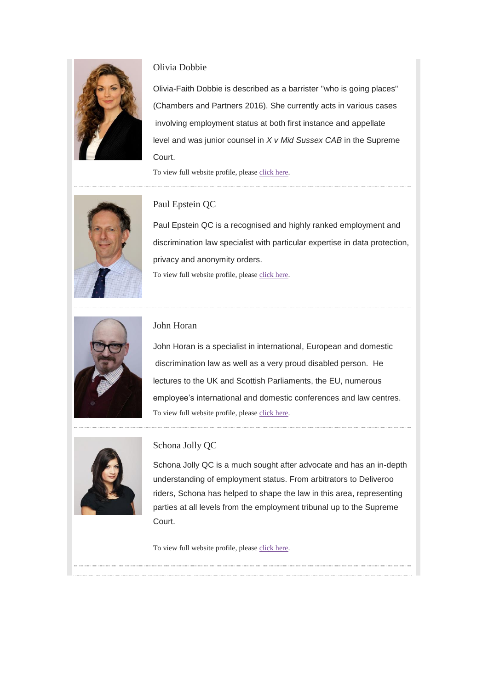

# Olivia Dobbie

Olivia-Faith Dobbie is described as a barrister "who is going places" (Chambers and Partners 2016). She currently acts in various cases involving employment status at both first instance and appellate level and was junior counsel in *X v Mid Sussex CAB* in the Supreme Court.

To view full website profile, please click here.



# Paul Epstein QC

Paul Epstein QC is a recognised and highly ranked employment and discrimination law specialist with particular expertise in data protection, privacy and anonymity orders. To view full website profile, pleas[e click here.](http://lexlinks.cloisters.com/marketingServer/incoming.aspx?l=0x3DBC17CE19297A5C1E83F8514FD58D5D00C1DABBA4083687C9D7109E6E08D9AB133BB057AEBC69A0A0561F65CDA5C5F50F95BCB5D22DBD20&ln=18&d=0xEC3640B4180F8F16%5e0xD1197CF0B1D861C4|0x40F3E49C83A12815%5e0x5FBFF1AECC20ED30|0x1F76935CAA54AE0A%5e0x430F6723D93D04D9212D989C9E2D7BB9FA2E9A2BE4C35A19192094DCAC56ACF8|0xA14B30AADF25AF0D%5e0x17922B9099DE2B55F699159D61C256AC1EE9C6511B169AAF117C7380CB0297033F56C09342B25402|0xC00B32B3252A1623F7126F7C46654076%5e0xA4AA6F214F8FE34D|0xF1B146662D144B75%5e0x862AEE6C7518FCC6|0xD52134AC788FF0FE%5e0xA51E887BD4C03819|0x7C0176C586DD3A52%5e0xB71AB4483C0A7B26|0x49EB4C9596DBE1A5%5e0xBDC0B87423493533|&c=168&s=96) 



## John Horan

John Horan is a specialist in international, European and domestic discrimination law as well as a very proud disabled person. He lectures to the UK and Scottish Parliaments, the EU, numerous employee's international and domestic conferences and law centres. To view full website profile, pleas[e click here.](http://lexlinks.cloisters.com/marketingServer/incoming.aspx?l=0x3DBC17CE19297A5C1E83F8514FD58D5D00C1DABBA4083687C9D7109E6E08D9AB2742C51AC57D4EB87872FAB8D5DB7EA5&ln=19&d=0xEC3640B4180F8F16%5e0xD1197CF0B1D861C4|0x40F3E49C83A12815%5e0x5FBFF1AECC20ED30|0x1F76935CAA54AE0A%5e0x430F6723D93D04D9212D989C9E2D7BB9FA2E9A2BE4C35A19192094DCAC56ACF8|0xA14B30AADF25AF0D%5e0x17922B9099DE2B55F699159D61C256AC1EE9C6511B169AAF117C7380CB0297033F56C09342B25402|0xC00B32B3252A1623F7126F7C46654076%5e0xA4AA6F214F8FE34D|0xF1B146662D144B75%5e0x862AEE6C7518FCC6|0xD52134AC788FF0FE%5e0xA51E887BD4C03819|0x7C0176C586DD3A52%5e0xB71AB4483C0A7B26|0x49EB4C9596DBE1A5%5e0xBDC0B87423493533|&c=168&s=96) 



#### Schona Jolly QC

Schona Jolly QC is a much sought after advocate and has an in-depth understanding of employment status. From arbitrators to Deliveroo riders, Schona has helped to shape the law in this area, representing parties at all levels from the employment tribunal up to the Supreme Court.

To view full website profile, please click here.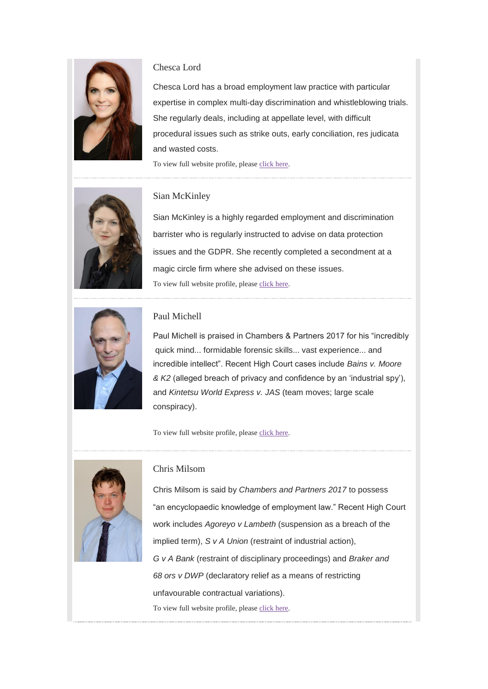

# Chesca Lord

Chesca Lord has a broad employment law practice with particular expertise in complex multi-day discrimination and whistleblowing trials. She regularly deals, including at appellate level, with difficult procedural issues such as strike outs, early conciliation, res judicata and wasted costs.

To view full website profile, pleas[e click here.](http://lexlinks.cloisters.com/marketingServer/incoming.aspx?l=0x3DBC17CE19297A5C1E83F8514FD58D5D00C1DABBA4083687C9D7109E6E08D9ABD93CB7C97FE51689190C244516FCBEEC&ln=21&d=0xEC3640B4180F8F16%5e0xD1197CF0B1D861C4|0x40F3E49C83A12815%5e0x5FBFF1AECC20ED30|0x1F76935CAA54AE0A%5e0x430F6723D93D04D9212D989C9E2D7BB9FA2E9A2BE4C35A19192094DCAC56ACF8|0xA14B30AADF25AF0D%5e0x17922B9099DE2B55F699159D61C256AC1EE9C6511B169AAF117C7380CB0297033F56C09342B25402|0xC00B32B3252A1623F7126F7C46654076%5e0xA4AA6F214F8FE34D|0xF1B146662D144B75%5e0x862AEE6C7518FCC6|0xD52134AC788FF0FE%5e0xA51E887BD4C03819|0x7C0176C586DD3A52%5e0xB71AB4483C0A7B26|0x49EB4C9596DBE1A5%5e0xBDC0B87423493533|&c=168&s=96) 



#### Sian McKinley

Sian McKinley is a highly regarded employment and discrimination barrister who is regularly instructed to advise on data protection issues and the GDPR. She recently completed a secondment at a magic circle firm where she advised on these issues. To view full website profile, pleas[e click here.](http://lexlinks.cloisters.com/marketingServer/incoming.aspx?l=0x3DBC17CE19297A5C1E83F8514FD58D5D00C1DABBA4083687C9D7109E6E08D9ABA18502AE35D882DAFC2D269F493B4C563AB2FBFEF84A315A&ln=22&d=0xEC3640B4180F8F16%5e0xD1197CF0B1D861C4|0x40F3E49C83A12815%5e0x5FBFF1AECC20ED30|0x1F76935CAA54AE0A%5e0x430F6723D93D04D9212D989C9E2D7BB9FA2E9A2BE4C35A19192094DCAC56ACF8|0xA14B30AADF25AF0D%5e0x17922B9099DE2B55F699159D61C256AC1EE9C6511B169AAF117C7380CB0297033F56C09342B25402|0xC00B32B3252A1623F7126F7C46654076%5e0xA4AA6F214F8FE34D|0xF1B146662D144B75%5e0x862AEE6C7518FCC6|0xD52134AC788FF0FE%5e0xA51E887BD4C03819|0x7C0176C586DD3A52%5e0xB71AB4483C0A7B26|0x49EB4C9596DBE1A5%5e0xBDC0B87423493533|&c=168&s=96) 



## Paul Michell

Paul Michell is praised in Chambers & Partners 2017 for his "incredibly quick mind... formidable forensic skills... vast experience... and incredible intellect". Recent High Court cases include *Bains v. Moore & K2* (alleged breach of privacy and confidence by an 'industrial spy'), and *Kintetsu World Express v. JAS* (team moves; large scale conspiracy).

To view full website profile, pleas[e click](http://lexlinks.cloisters.com/marketingServer/incoming.aspx?l=0x3DBC17CE19297A5C1E83F8514FD58D5D00C1DABBA4083687C9D7109E6E08D9AB133BB057AEBC69A0AD86FC2357294A2B7F76BF10F0B54A43&ln=23&d=0xEC3640B4180F8F16%5e0xD1197CF0B1D861C4|0x40F3E49C83A12815%5e0x5FBFF1AECC20ED30|0x1F76935CAA54AE0A%5e0x430F6723D93D04D9212D989C9E2D7BB9FA2E9A2BE4C35A19192094DCAC56ACF8|0xA14B30AADF25AF0D%5e0x17922B9099DE2B55F699159D61C256AC1EE9C6511B169AAF117C7380CB0297033F56C09342B25402|0xC00B32B3252A1623F7126F7C46654076%5e0xA4AA6F214F8FE34D|0xF1B146662D144B75%5e0x862AEE6C7518FCC6|0xD52134AC788FF0FE%5e0xA51E887BD4C03819|0x7C0176C586DD3A52%5e0xB71AB4483C0A7B26|0x49EB4C9596DBE1A5%5e0xBDC0B87423493533|&c=168&s=96) here.



## Chris Milsom

Chris Milsom is said by *Chambers and Partners 2017* to possess "an encyclopaedic knowledge of employment law." Recent High Court work includes *Agoreyo v Lambeth* (suspension as a breach of the implied term), *S v A Union* (restraint of industrial action), *G v A Bank* (restraint of disciplinary proceedings) and *Braker and 68 ors v DWP* (declaratory relief as a means of restricting unfavourable contractual variations). To view full website profile, please click here.